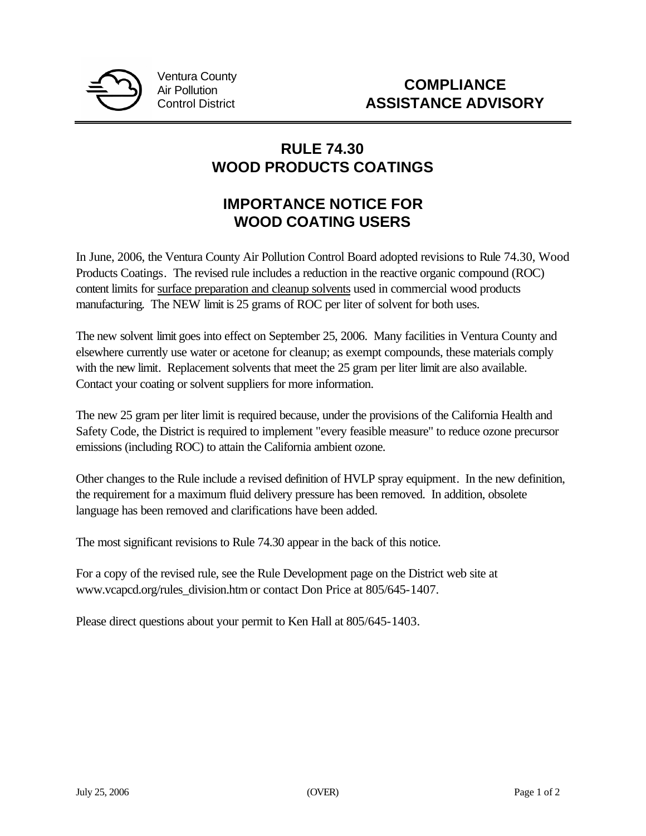

Ventura County Air Pollution Control District

## **RULE 74.30 WOOD PRODUCTS COATINGS**

# **IMPORTANCE NOTICE FOR WOOD COATING USERS**

In June, 2006, the Ventura County Air Pollution Control Board adopted revisions to Rule 74.30, Wood Products Coatings. The revised rule includes a reduction in the reactive organic compound (ROC) content limits for surface preparation and cleanup solvents used in commercial wood products manufacturing. The NEW limit is 25 grams of ROC per liter of solvent for both uses.

The new solvent limit goes into effect on September 25, 2006. Many facilities in Ventura County and elsewhere currently use water or acetone for cleanup; as exempt compounds, these materials comply with the new limit. Replacement solvents that meet the 25 gram per liter limit are also available. Contact your coating or solvent suppliers for more information.

The new 25 gram per liter limit is required because, under the provisions of the California Health and Safety Code, the District is required to implement "every feasible measure" to reduce ozone precursor emissions (including ROC) to attain the California ambient ozone.

Other changes to the Rule include a revised definition of HVLP spray equipment. In the new definition, the requirement for a maximum fluid delivery pressure has been removed. In addition, obsolete language has been removed and clarifications have been added.

The most significant revisions to Rule 74.30 appear in the back of this notice.

For a copy of the revised rule, see the Rule Development page on the District web site at www.vcapcd.org/rules\_division.htm or contact Don Price at 805/645-1407.

Please direct questions about your permit to Ken Hall at 805/645-1403.